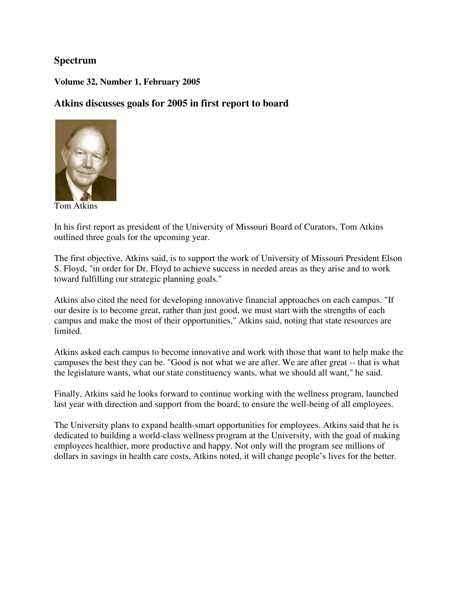### **Spectrum**

#### **Volume 32, Number 1, February 2005**

### **Atkins discusses goals for 2005 in first report to board**



Tom Atkins

In his first report as president of the University of Missouri Board of Curators, Tom Atkins outlined three goals for the upcoming year.

The first objective, Atkins said, is to support the work of University of Missouri President Elson S. Floyd, "in order for Dr. Floyd to achieve success in needed areas as they arise and to work toward fulfilling our strategic planning goals."

Atkins also cited the need for developing innovative financial approaches on each campus. "If our desire is to become great, rather than just good, we must start with the strengths of each campus and make the most of their opportunities," Atkins said, noting that state resources are limited.

Atkins asked each campus to become innovative and work with those that want to help make the campuses the best they can be. "Good is not what we are after. We are after great -- that is what the legislature wants, what our state constituency wants, what we should all want," he said.

Finally, Atkins said he looks forward to continue working with the wellness program, launched last year with direction and support from the board, to ensure the well-being of all employees.

The University plans to expand health-smart opportunities for employees. Atkins said that he is dedicated to building a world-class wellness program at the University, with the goal of making employees healthier, more productive and happy. Not only will the program see millions of dollars in savings in health care costs, Atkins noted, it will change people's lives for the better.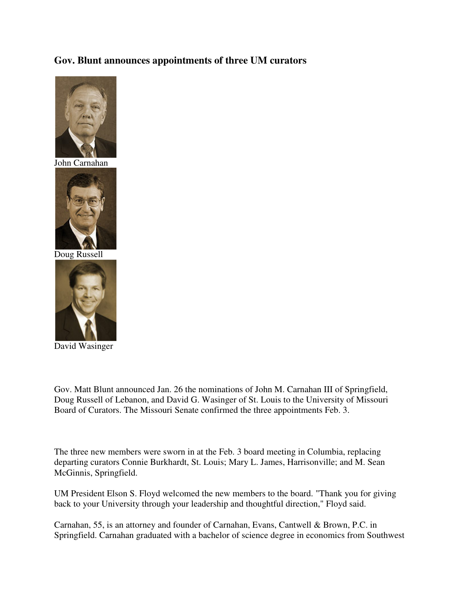### **Gov. Blunt announces appointments of three UM curators**



John Carnahan



Doug Russell



David Wasinger

Gov. Matt Blunt announced Jan. 26 the nominations of John M. Carnahan III of Springfield, Doug Russell of Lebanon, and David G. Wasinger of St. Louis to the University of Missouri Board of Curators. The Missouri Senate confirmed the three appointments Feb. 3.

The three new members were sworn in at the Feb. 3 board meeting in Columbia, replacing departing curators Connie Burkhardt, St. Louis; Mary L. James, Harrisonville; and M. Sean McGinnis, Springfield.

UM President Elson S. Floyd welcomed the new members to the board. "Thank you for giving back to your University through your leadership and thoughtful direction," Floyd said.

Carnahan, 55, is an attorney and founder of Carnahan, Evans, Cantwell & Brown, P.C. in Springfield. Carnahan graduated with a bachelor of science degree in economics from Southwest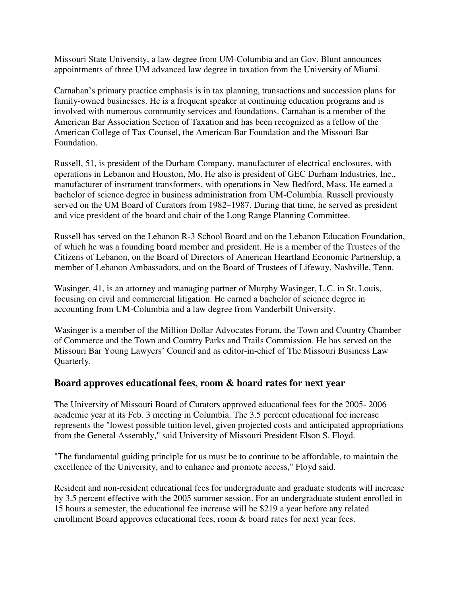Missouri State University, a law degree from UM-Columbia and an Gov. Blunt announces appointments of three UM advanced law degree in taxation from the University of Miami.

Carnahan's primary practice emphasis is in tax planning, transactions and succession plans for family-owned businesses. He is a frequent speaker at continuing education programs and is involved with numerous community services and foundations. Carnahan is a member of the American Bar Association Section of Taxation and has been recognized as a fellow of the American College of Tax Counsel, the American Bar Foundation and the Missouri Bar Foundation.

Russell, 51, is president of the Durham Company, manufacturer of electrical enclosures, with operations in Lebanon and Houston, Mo. He also is president of GEC Durham Industries, Inc., manufacturer of instrument transformers, with operations in New Bedford, Mass. He earned a bachelor of science degree in business administration from UM-Columbia. Russell previously served on the UM Board of Curators from 1982–1987. During that time, he served as president and vice president of the board and chair of the Long Range Planning Committee.

Russell has served on the Lebanon R-3 School Board and on the Lebanon Education Foundation, of which he was a founding board member and president. He is a member of the Trustees of the Citizens of Lebanon, on the Board of Directors of American Heartland Economic Partnership, a member of Lebanon Ambassadors, and on the Board of Trustees of Lifeway, Nashville, Tenn.

Wasinger, 41, is an attorney and managing partner of Murphy Wasinger, L.C. in St. Louis, focusing on civil and commercial litigation. He earned a bachelor of science degree in accounting from UM-Columbia and a law degree from Vanderbilt University.

Wasinger is a member of the Million Dollar Advocates Forum, the Town and Country Chamber of Commerce and the Town and Country Parks and Trails Commission. He has served on the Missouri Bar Young Lawyers' Council and as editor-in-chief of The Missouri Business Law Quarterly.

#### **Board approves educational fees, room & board rates for next year**

The University of Missouri Board of Curators approved educational fees for the 2005- 2006 academic year at its Feb. 3 meeting in Columbia. The 3.5 percent educational fee increase represents the "lowest possible tuition level, given projected costs and anticipated appropriations from the General Assembly," said University of Missouri President Elson S. Floyd.

"The fundamental guiding principle for us must be to continue to be affordable, to maintain the excellence of the University, and to enhance and promote access," Floyd said.

Resident and non-resident educational fees for undergraduate and graduate students will increase by 3.5 percent effective with the 2005 summer session. For an undergraduate student enrolled in 15 hours a semester, the educational fee increase will be \$219 a year before any related enrollment Board approves educational fees, room & board rates for next year fees.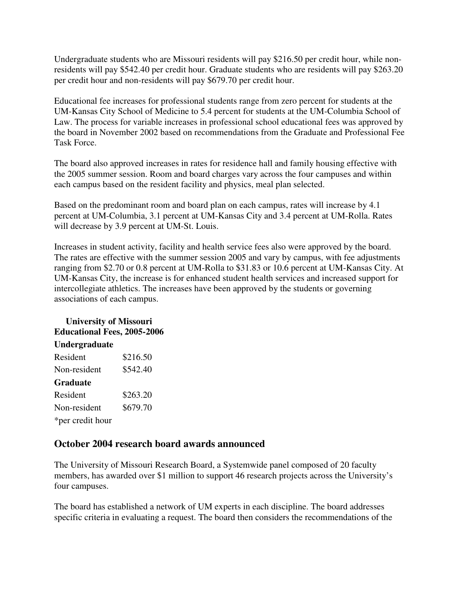Undergraduate students who are Missouri residents will pay \$216.50 per credit hour, while nonresidents will pay \$542.40 per credit hour. Graduate students who are residents will pay \$263.20 per credit hour and non-residents will pay \$679.70 per credit hour.

Educational fee increases for professional students range from zero percent for students at the UM-Kansas City School of Medicine to 5.4 percent for students at the UM-Columbia School of Law. The process for variable increases in professional school educational fees was approved by the board in November 2002 based on recommendations from the Graduate and Professional Fee Task Force.

The board also approved increases in rates for residence hall and family housing effective with the 2005 summer session. Room and board charges vary across the four campuses and within each campus based on the resident facility and physics, meal plan selected.

Based on the predominant room and board plan on each campus, rates will increase by 4.1 percent at UM-Columbia, 3.1 percent at UM-Kansas City and 3.4 percent at UM-Rolla. Rates will decrease by 3.9 percent at UM-St. Louis.

Increases in student activity, facility and health service fees also were approved by the board. The rates are effective with the summer session 2005 and vary by campus, with fee adjustments ranging from \$2.70 or 0.8 percent at UM-Rolla to \$31.83 or 10.6 percent at UM-Kansas City. At UM-Kansas City, the increase is for enhanced student health services and increased support for intercollegiate athletics. The increases have been approved by the students or governing associations of each campus.

## **University of Missouri Educational Fees, 2005-2006 Undergraduate**

| Resident         | \$216.50 |
|------------------|----------|
| Non-resident     | \$542.40 |
| <b>Graduate</b>  |          |
| Resident         | \$263.20 |
| Non-resident     | \$679.70 |
| *per credit hour |          |

### **October 2004 research board awards announced**

The University of Missouri Research Board, a Systemwide panel composed of 20 faculty members, has awarded over \$1 million to support 46 research projects across the University's four campuses.

The board has established a network of UM experts in each discipline. The board addresses specific criteria in evaluating a request. The board then considers the recommendations of the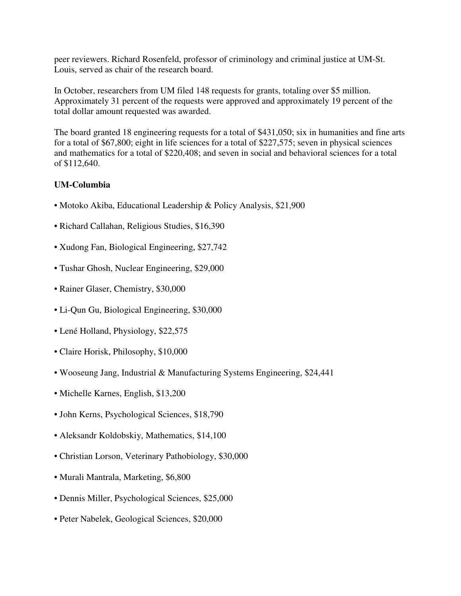peer reviewers. Richard Rosenfeld, professor of criminology and criminal justice at UM-St. Louis, served as chair of the research board.

In October, researchers from UM filed 148 requests for grants, totaling over \$5 million. Approximately 31 percent of the requests were approved and approximately 19 percent of the total dollar amount requested was awarded.

The board granted 18 engineering requests for a total of \$431,050; six in humanities and fine arts for a total of \$67,800; eight in life sciences for a total of \$227,575; seven in physical sciences and mathematics for a total of \$220,408; and seven in social and behavioral sciences for a total of \$112,640.

#### **UM-Columbia**

- Motoko Akiba, Educational Leadership & Policy Analysis, \$21,900
- Richard Callahan, Religious Studies, \$16,390
- Xudong Fan, Biological Engineering, \$27,742
- Tushar Ghosh, Nuclear Engineering, \$29,000
- Rainer Glaser, Chemistry, \$30,000
- Li-Qun Gu, Biological Engineering, \$30,000
- Lené Holland, Physiology, \$22,575
- Claire Horisk, Philosophy, \$10,000
- Wooseung Jang, Industrial & Manufacturing Systems Engineering, \$24,441
- Michelle Karnes, English, \$13,200
- John Kerns, Psychological Sciences, \$18,790
- Aleksandr Koldobskiy, Mathematics, \$14,100
- Christian Lorson, Veterinary Pathobiology, \$30,000
- Murali Mantrala, Marketing, \$6,800
- Dennis Miller, Psychological Sciences, \$25,000
- Peter Nabelek, Geological Sciences, \$20,000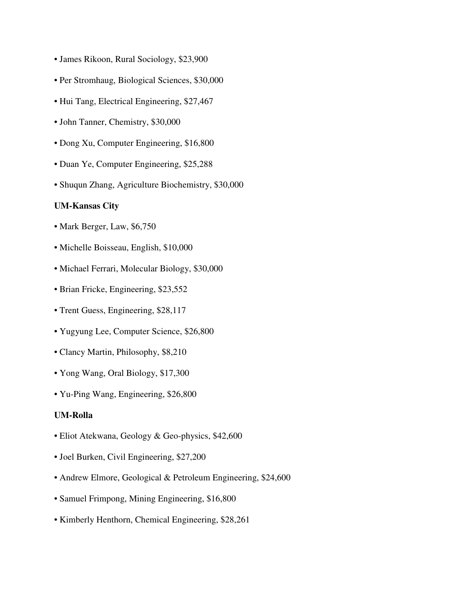- James Rikoon, Rural Sociology, \$23,900
- Per Stromhaug, Biological Sciences, \$30,000
- Hui Tang, Electrical Engineering, \$27,467
- John Tanner, Chemistry, \$30,000
- Dong Xu, Computer Engineering, \$16,800
- Duan Ye, Computer Engineering, \$25,288
- Shuqun Zhang, Agriculture Biochemistry, \$30,000

#### **UM-Kansas City**

- Mark Berger, Law, \$6,750
- Michelle Boisseau, English, \$10,000
- Michael Ferrari, Molecular Biology, \$30,000
- Brian Fricke, Engineering, \$23,552
- Trent Guess, Engineering, \$28,117
- Yugyung Lee, Computer Science, \$26,800
- Clancy Martin, Philosophy, \$8,210
- Yong Wang, Oral Biology, \$17,300
- Yu-Ping Wang, Engineering, \$26,800

#### **UM-Rolla**

- Eliot Atekwana, Geology & Geo-physics, \$42,600
- Joel Burken, Civil Engineering, \$27,200
- Andrew Elmore, Geological & Petroleum Engineering, \$24,600
- Samuel Frimpong, Mining Engineering, \$16,800
- Kimberly Henthorn, Chemical Engineering, \$28,261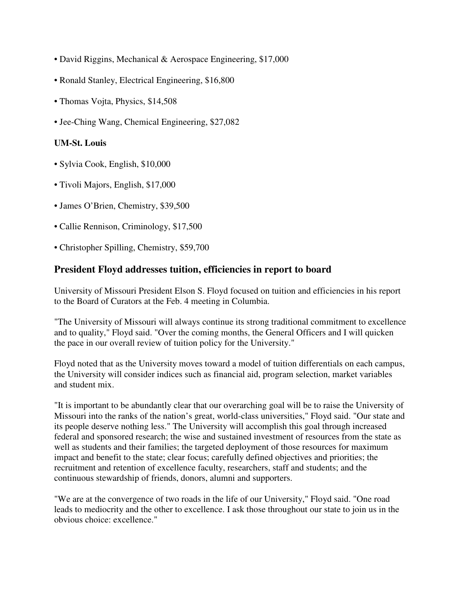- David Riggins, Mechanical & Aerospace Engineering, \$17,000
- Ronald Stanley, Electrical Engineering, \$16,800
- Thomas Vojta, Physics, \$14,508
- Jee-Ching Wang, Chemical Engineering, \$27,082

#### **UM-St. Louis**

- Sylvia Cook, English, \$10,000
- Tivoli Majors, English, \$17,000
- James O'Brien, Chemistry, \$39,500
- Callie Rennison, Criminology, \$17,500
- Christopher Spilling, Chemistry, \$59,700

# **President Floyd addresses tuition, efficiencies in report to board**

University of Missouri President Elson S. Floyd focused on tuition and efficiencies in his report to the Board of Curators at the Feb. 4 meeting in Columbia.

"The University of Missouri will always continue its strong traditional commitment to excellence and to quality," Floyd said. "Over the coming months, the General Officers and I will quicken the pace in our overall review of tuition policy for the University."

Floyd noted that as the University moves toward a model of tuition differentials on each campus, the University will consider indices such as financial aid, program selection, market variables and student mix.

"It is important to be abundantly clear that our overarching goal will be to raise the University of Missouri into the ranks of the nation's great, world-class universities," Floyd said. "Our state and its people deserve nothing less." The University will accomplish this goal through increased federal and sponsored research; the wise and sustained investment of resources from the state as well as students and their families; the targeted deployment of those resources for maximum impact and benefit to the state; clear focus; carefully defined objectives and priorities; the recruitment and retention of excellence faculty, researchers, staff and students; and the continuous stewardship of friends, donors, alumni and supporters.

"We are at the convergence of two roads in the life of our University," Floyd said. "One road leads to mediocrity and the other to excellence. I ask those throughout our state to join us in the obvious choice: excellence."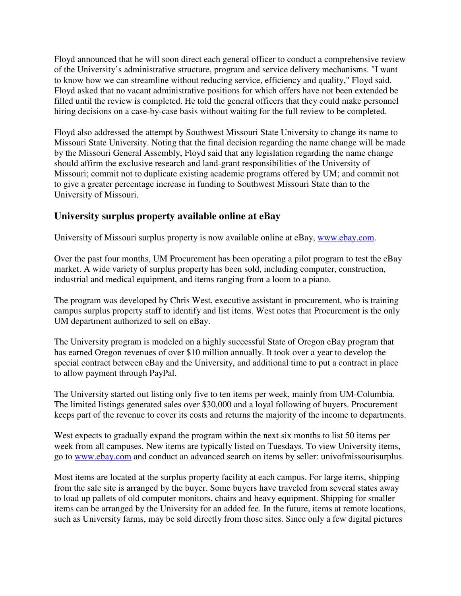Floyd announced that he will soon direct each general officer to conduct a comprehensive review of the University's administrative structure, program and service delivery mechanisms. "I want to know how we can streamline without reducing service, efficiency and quality," Floyd said. Floyd asked that no vacant administrative positions for which offers have not been extended be filled until the review is completed. He told the general officers that they could make personnel hiring decisions on a case-by-case basis without waiting for the full review to be completed.

Floyd also addressed the attempt by Southwest Missouri State University to change its name to Missouri State University. Noting that the final decision regarding the name change will be made by the Missouri General Assembly, Floyd said that any legislation regarding the name change should affirm the exclusive research and land-grant responsibilities of the University of Missouri; commit not to duplicate existing academic programs offered by UM; and commit not to give a greater percentage increase in funding to Southwest Missouri State than to the University of Missouri.

### **University surplus property available online at eBay**

University of Missouri surplus property is now available online at eBay, www.ebay.com.

Over the past four months, UM Procurement has been operating a pilot program to test the eBay market. A wide variety of surplus property has been sold, including computer, construction, industrial and medical equipment, and items ranging from a loom to a piano.

The program was developed by Chris West, executive assistant in procurement, who is training campus surplus property staff to identify and list items. West notes that Procurement is the only UM department authorized to sell on eBay.

The University program is modeled on a highly successful State of Oregon eBay program that has earned Oregon revenues of over \$10 million annually. It took over a year to develop the special contract between eBay and the University, and additional time to put a contract in place to allow payment through PayPal.

The University started out listing only five to ten items per week, mainly from UM-Columbia. The limited listings generated sales over \$30,000 and a loyal following of buyers. Procurement keeps part of the revenue to cover its costs and returns the majority of the income to departments.

West expects to gradually expand the program within the next six months to list 50 items per week from all campuses. New items are typically listed on Tuesdays. To view University items, go to www.ebay.com and conduct an advanced search on items by seller: univofmissourisurplus.

Most items are located at the surplus property facility at each campus. For large items, shipping from the sale site is arranged by the buyer. Some buyers have traveled from several states away to load up pallets of old computer monitors, chairs and heavy equipment. Shipping for smaller items can be arranged by the University for an added fee. In the future, items at remote locations, such as University farms, may be sold directly from those sites. Since only a few digital pictures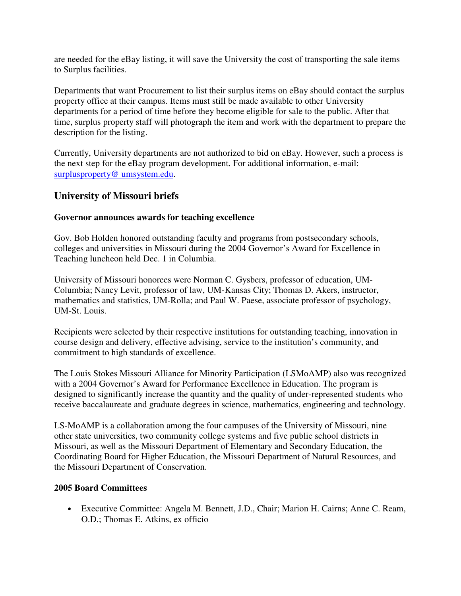are needed for the eBay listing, it will save the University the cost of transporting the sale items to Surplus facilities.

Departments that want Procurement to list their surplus items on eBay should contact the surplus property office at their campus. Items must still be made available to other University departments for a period of time before they become eligible for sale to the public. After that time, surplus property staff will photograph the item and work with the department to prepare the description for the listing.

Currently, University departments are not authorized to bid on eBay. However, such a process is the next step for the eBay program development. For additional information, e-mail: surplusproperty@ umsystem.edu.

## **University of Missouri briefs**

### **Governor announces awards for teaching excellence**

Gov. Bob Holden honored outstanding faculty and programs from postsecondary schools, colleges and universities in Missouri during the 2004 Governor's Award for Excellence in Teaching luncheon held Dec. 1 in Columbia.

University of Missouri honorees were Norman C. Gysbers, professor of education, UM-Columbia; Nancy Levit, professor of law, UM-Kansas City; Thomas D. Akers, instructor, mathematics and statistics, UM-Rolla; and Paul W. Paese, associate professor of psychology, UM-St. Louis.

Recipients were selected by their respective institutions for outstanding teaching, innovation in course design and delivery, effective advising, service to the institution's community, and commitment to high standards of excellence.

The Louis Stokes Missouri Alliance for Minority Participation (LSMoAMP) also was recognized with a 2004 Governor's Award for Performance Excellence in Education. The program is designed to significantly increase the quantity and the quality of under-represented students who receive baccalaureate and graduate degrees in science, mathematics, engineering and technology.

LS-MoAMP is a collaboration among the four campuses of the University of Missouri, nine other state universities, two community college systems and five public school districts in Missouri, as well as the Missouri Department of Elementary and Secondary Education, the Coordinating Board for Higher Education, the Missouri Department of Natural Resources, and the Missouri Department of Conservation.

#### **2005 Board Committees**

• Executive Committee: Angela M. Bennett, J.D., Chair; Marion H. Cairns; Anne C. Ream, O.D.; Thomas E. Atkins, ex officio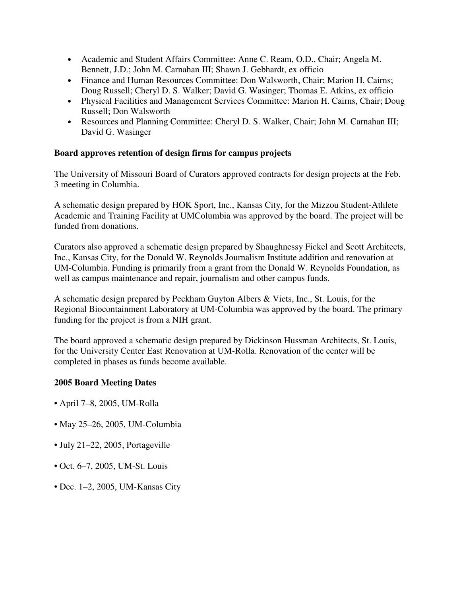- Academic and Student Affairs Committee: Anne C. Ream, O.D., Chair; Angela M. Bennett, J.D.; John M. Carnahan III; Shawn J. Gebhardt, ex officio
- Finance and Human Resources Committee: Don Walsworth, Chair: Marion H. Cairns: Doug Russell; Cheryl D. S. Walker; David G. Wasinger; Thomas E. Atkins, ex officio
- Physical Facilities and Management Services Committee: Marion H. Cairns, Chair; Doug Russell; Don Walsworth
- Resources and Planning Committee: Cheryl D. S. Walker, Chair; John M. Carnahan III; David G. Wasinger

### **Board approves retention of design firms for campus projects**

The University of Missouri Board of Curators approved contracts for design projects at the Feb. 3 meeting in Columbia.

A schematic design prepared by HOK Sport, Inc., Kansas City, for the Mizzou Student-Athlete Academic and Training Facility at UMColumbia was approved by the board. The project will be funded from donations.

Curators also approved a schematic design prepared by Shaughnessy Fickel and Scott Architects, Inc., Kansas City, for the Donald W. Reynolds Journalism Institute addition and renovation at UM-Columbia. Funding is primarily from a grant from the Donald W. Reynolds Foundation, as well as campus maintenance and repair, journalism and other campus funds.

A schematic design prepared by Peckham Guyton Albers & Viets, Inc., St. Louis, for the Regional Biocontainment Laboratory at UM-Columbia was approved by the board. The primary funding for the project is from a NIH grant.

The board approved a schematic design prepared by Dickinson Hussman Architects, St. Louis, for the University Center East Renovation at UM-Rolla. Renovation of the center will be completed in phases as funds become available.

#### **2005 Board Meeting Dates**

- April 7–8, 2005, UM-Rolla
- May 25–26, 2005, UM-Columbia
- July 21–22, 2005, Portageville
- Oct. 6–7, 2005, UM-St. Louis
- Dec. 1–2, 2005, UM-Kansas City